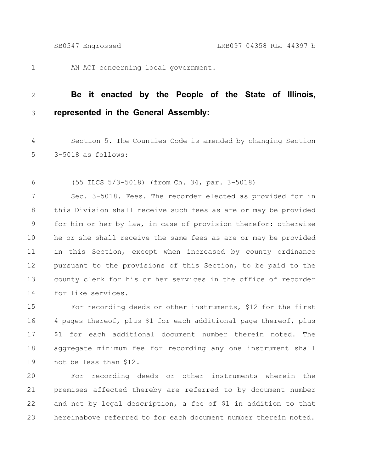1

AN ACT concerning local government.

## **Be it enacted by the People of the State of Illinois, represented in the General Assembly:** 2 3

Section 5. The Counties Code is amended by changing Section 3-5018 as follows: 4 5

(55 ILCS 5/3-5018) (from Ch. 34, par. 3-5018) 6

Sec. 3-5018. Fees. The recorder elected as provided for in this Division shall receive such fees as are or may be provided for him or her by law, in case of provision therefor: otherwise he or she shall receive the same fees as are or may be provided in this Section, except when increased by county ordinance pursuant to the provisions of this Section, to be paid to the county clerk for his or her services in the office of recorder for like services. 7 8 9 10 11 12 13 14

For recording deeds or other instruments, \$12 for the first 4 pages thereof, plus \$1 for each additional page thereof, plus \$1 for each additional document number therein noted. The aggregate minimum fee for recording any one instrument shall not be less than \$12. 15 16 17 18 19

For recording deeds or other instruments wherein the premises affected thereby are referred to by document number and not by legal description, a fee of \$1 in addition to that hereinabove referred to for each document number therein noted. 20 21 22 23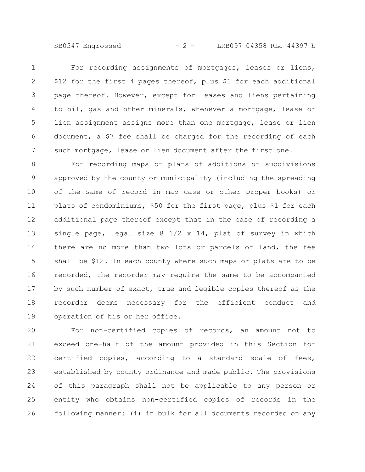SB0547 Engrossed - 2 - LRB097 04358 RLJ 44397 b

For recording assignments of mortgages, leases or liens, \$12 for the first 4 pages thereof, plus \$1 for each additional page thereof. However, except for leases and liens pertaining to oil, gas and other minerals, whenever a mortgage, lease or lien assignment assigns more than one mortgage, lease or lien document, a \$7 fee shall be charged for the recording of each such mortgage, lease or lien document after the first one. 1 2 3 4 5 6 7

For recording maps or plats of additions or subdivisions approved by the county or municipality (including the spreading of the same of record in map case or other proper books) or plats of condominiums, \$50 for the first page, plus \$1 for each additional page thereof except that in the case of recording a single page, legal size  $8 \frac{1}{2} \times 14$ , plat of survey in which there are no more than two lots or parcels of land, the fee shall be \$12. In each county where such maps or plats are to be recorded, the recorder may require the same to be accompanied by such number of exact, true and legible copies thereof as the recorder deems necessary for the efficient conduct and operation of his or her office. 8 9 10 11 12 13 14 15 16 17 18 19

For non-certified copies of records, an amount not to exceed one-half of the amount provided in this Section for certified copies, according to a standard scale of fees, established by county ordinance and made public. The provisions of this paragraph shall not be applicable to any person or entity who obtains non-certified copies of records in the following manner: (i) in bulk for all documents recorded on any 20 21 22 23 24 25 26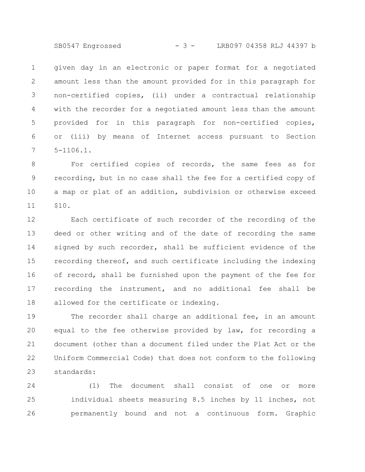SB0547 Engrossed - 3 - LRB097 04358 RLJ 44397 b

given day in an electronic or paper format for a negotiated amount less than the amount provided for in this paragraph for non-certified copies, (ii) under a contractual relationship with the recorder for a negotiated amount less than the amount provided for in this paragraph for non-certified copies, or (iii) by means of Internet access pursuant to Section 5-1106.1. 1 2 3 4 5 6 7

For certified copies of records, the same fees as for recording, but in no case shall the fee for a certified copy of a map or plat of an addition, subdivision or otherwise exceed \$10. 8 9 10 11

Each certificate of such recorder of the recording of the deed or other writing and of the date of recording the same signed by such recorder, shall be sufficient evidence of the recording thereof, and such certificate including the indexing of record, shall be furnished upon the payment of the fee for recording the instrument, and no additional fee shall be allowed for the certificate or indexing. 12 13 14 15 16 17 18

The recorder shall charge an additional fee, in an amount equal to the fee otherwise provided by law, for recording a document (other than a document filed under the Plat Act or the Uniform Commercial Code) that does not conform to the following standards: 19 20 21 22 23

(1) The document shall consist of one or more individual sheets measuring 8.5 inches by 11 inches, not permanently bound and not a continuous form. Graphic 24 25 26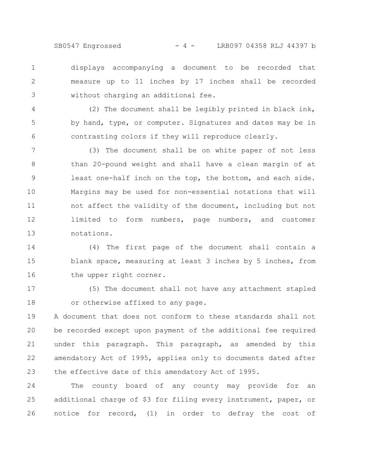SB0547 Engrossed - 4 - LRB097 04358 RLJ 44397 b

displays accompanying a document to be recorded that measure up to 11 inches by 17 inches shall be recorded without charging an additional fee. 1 2 3

(2) The document shall be legibly printed in black ink, by hand, type, or computer. Signatures and dates may be in contrasting colors if they will reproduce clearly. 4 5 6

(3) The document shall be on white paper of not less than 20-pound weight and shall have a clean margin of at least one-half inch on the top, the bottom, and each side. Margins may be used for non-essential notations that will not affect the validity of the document, including but not limited to form numbers, page numbers, and customer notations. 7 8 9 10 11 12 13

(4) The first page of the document shall contain a blank space, measuring at least 3 inches by 5 inches, from the upper right corner. 14 15 16

(5) The document shall not have any attachment stapled or otherwise affixed to any page. 17 18

A document that does not conform to these standards shall not be recorded except upon payment of the additional fee required under this paragraph. This paragraph, as amended by this amendatory Act of 1995, applies only to documents dated after the effective date of this amendatory Act of 1995. 19 20 21 22 23

The county board of any county may provide for an additional charge of \$3 for filing every instrument, paper, or notice for record, (1) in order to defray the cost of 24 25 26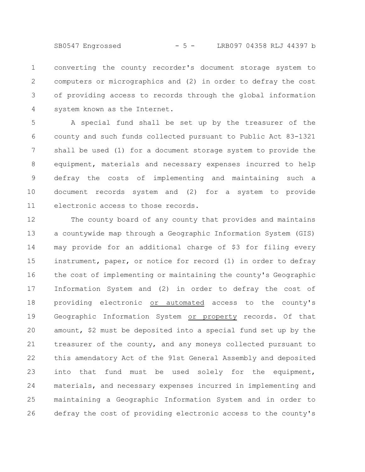SB0547 Engrossed - 5 - LRB097 04358 RLJ 44397 b

converting the county recorder's document storage system to computers or micrographics and (2) in order to defray the cost of providing access to records through the global information system known as the Internet. 1 2 3 4

A special fund shall be set up by the treasurer of the county and such funds collected pursuant to Public Act 83-1321 shall be used (1) for a document storage system to provide the equipment, materials and necessary expenses incurred to help defray the costs of implementing and maintaining such a document records system and (2) for a system to provide electronic access to those records. 5 6 7 8 9 10 11

The county board of any county that provides and maintains a countywide map through a Geographic Information System (GIS) may provide for an additional charge of \$3 for filing every instrument, paper, or notice for record (1) in order to defray the cost of implementing or maintaining the county's Geographic Information System and (2) in order to defray the cost of providing electronic or automated access to the county's Geographic Information System or property records. Of that amount, \$2 must be deposited into a special fund set up by the treasurer of the county, and any moneys collected pursuant to this amendatory Act of the 91st General Assembly and deposited into that fund must be used solely for the equipment, materials, and necessary expenses incurred in implementing and maintaining a Geographic Information System and in order to defray the cost of providing electronic access to the county's 12 13 14 15 16 17 18 19 20 21 22 23 24 25 26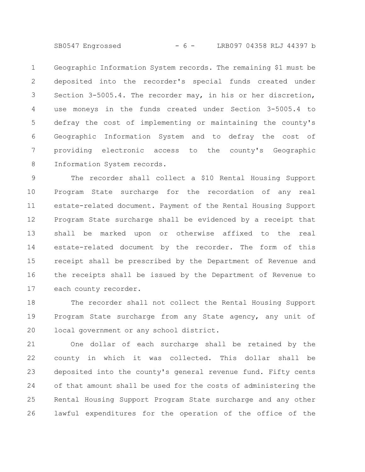SB0547 Engrossed - 6 - LRB097 04358 RLJ 44397 b

Geographic Information System records. The remaining \$1 must be deposited into the recorder's special funds created under Section 3-5005.4. The recorder may, in his or her discretion, use moneys in the funds created under Section 3-5005.4 to defray the cost of implementing or maintaining the county's Geographic Information System and to defray the cost of providing electronic access to the county's Geographic Information System records. 1 2 3 4 5 6 7 8

The recorder shall collect a \$10 Rental Housing Support Program State surcharge for the recordation of any real estate-related document. Payment of the Rental Housing Support Program State surcharge shall be evidenced by a receipt that shall be marked upon or otherwise affixed to the real estate-related document by the recorder. The form of this receipt shall be prescribed by the Department of Revenue and the receipts shall be issued by the Department of Revenue to each county recorder. 9 10 11 12 13 14 15 16 17

The recorder shall not collect the Rental Housing Support Program State surcharge from any State agency, any unit of local government or any school district. 18 19 20

One dollar of each surcharge shall be retained by the county in which it was collected. This dollar shall be deposited into the county's general revenue fund. Fifty cents of that amount shall be used for the costs of administering the Rental Housing Support Program State surcharge and any other lawful expenditures for the operation of the office of the 21 22 23 24 25 26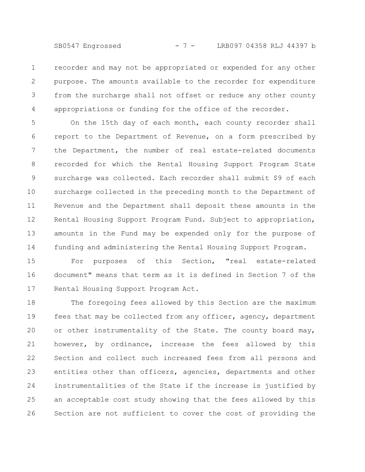SB0547 Engrossed - 7 - LRB097 04358 RLJ 44397 b

recorder and may not be appropriated or expended for any other purpose. The amounts available to the recorder for expenditure from the surcharge shall not offset or reduce any other county appropriations or funding for the office of the recorder. 1 2 3 4

On the 15th day of each month, each county recorder shall report to the Department of Revenue, on a form prescribed by the Department, the number of real estate-related documents recorded for which the Rental Housing Support Program State surcharge was collected. Each recorder shall submit \$9 of each surcharge collected in the preceding month to the Department of Revenue and the Department shall deposit these amounts in the Rental Housing Support Program Fund. Subject to appropriation, amounts in the Fund may be expended only for the purpose of funding and administering the Rental Housing Support Program. 5 6 7 8 9 10 11 12 13 14

For purposes of this Section, "real estate-related document" means that term as it is defined in Section 7 of the Rental Housing Support Program Act. 15 16 17

The foregoing fees allowed by this Section are the maximum fees that may be collected from any officer, agency, department or other instrumentality of the State. The county board may, however, by ordinance, increase the fees allowed by this Section and collect such increased fees from all persons and entities other than officers, agencies, departments and other instrumentalities of the State if the increase is justified by an acceptable cost study showing that the fees allowed by this Section are not sufficient to cover the cost of providing the 18 19 20 21 22 23 24 25 26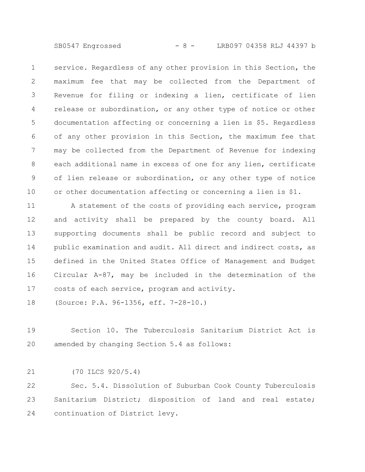SB0547 Engrossed - 8 - LRB097 04358 RLJ 44397 b

service. Regardless of any other provision in this Section, the maximum fee that may be collected from the Department of Revenue for filing or indexing a lien, certificate of lien release or subordination, or any other type of notice or other documentation affecting or concerning a lien is \$5. Regardless of any other provision in this Section, the maximum fee that may be collected from the Department of Revenue for indexing each additional name in excess of one for any lien, certificate of lien release or subordination, or any other type of notice or other documentation affecting or concerning a lien is \$1. 1 2 3 4 5 6 7 8 9 10

A statement of the costs of providing each service, program and activity shall be prepared by the county board. All supporting documents shall be public record and subject to public examination and audit. All direct and indirect costs, as defined in the United States Office of Management and Budget Circular A-87, may be included in the determination of the costs of each service, program and activity. 11 12 13 14 15 16 17

(Source: P.A. 96-1356, eff. 7-28-10.) 18

Section 10. The Tuberculosis Sanitarium District Act is amended by changing Section 5.4 as follows: 19 20

(70 ILCS 920/5.4) 21

Sec. 5.4. Dissolution of Suburban Cook County Tuberculosis Sanitarium District; disposition of land and real estate; continuation of District levy. 22 23 24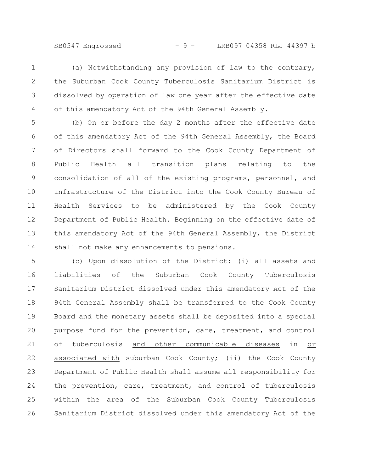SB0547 Engrossed - 9 - LRB097 04358 RLJ 44397 b

(a) Notwithstanding any provision of law to the contrary, the Suburban Cook County Tuberculosis Sanitarium District is dissolved by operation of law one year after the effective date of this amendatory Act of the 94th General Assembly. 1 2 3 4

(b) On or before the day 2 months after the effective date of this amendatory Act of the 94th General Assembly, the Board of Directors shall forward to the Cook County Department of Public Health all transition plans relating to the consolidation of all of the existing programs, personnel, and infrastructure of the District into the Cook County Bureau of Health Services to be administered by the Cook County Department of Public Health. Beginning on the effective date of this amendatory Act of the 94th General Assembly, the District shall not make any enhancements to pensions. 5 6 7 8 9 10 11 12 13 14

(c) Upon dissolution of the District: (i) all assets and liabilities of the Suburban Cook County Tuberculosis Sanitarium District dissolved under this amendatory Act of the 94th General Assembly shall be transferred to the Cook County Board and the monetary assets shall be deposited into a special purpose fund for the prevention, care, treatment, and control of tuberculosis and other communicable diseases in or associated with suburban Cook County; (ii) the Cook County Department of Public Health shall assume all responsibility for the prevention, care, treatment, and control of tuberculosis within the area of the Suburban Cook County Tuberculosis Sanitarium District dissolved under this amendatory Act of the 15 16 17 18 19 20 21 22 23 24 25 26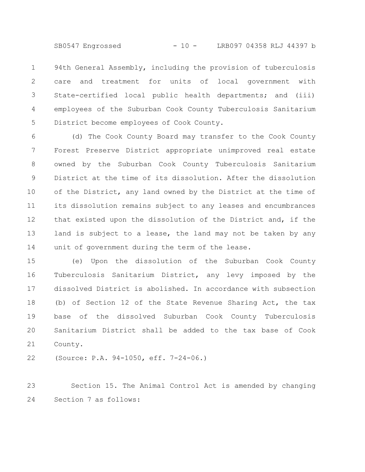SB0547 Engrossed - 10 - LRB097 04358 RLJ 44397 b

94th General Assembly, including the provision of tuberculosis care and treatment for units of local government with State-certified local public health departments; and (iii) employees of the Suburban Cook County Tuberculosis Sanitarium District become employees of Cook County. 1 2 3 4 5

(d) The Cook County Board may transfer to the Cook County Forest Preserve District appropriate unimproved real estate owned by the Suburban Cook County Tuberculosis Sanitarium District at the time of its dissolution. After the dissolution of the District, any land owned by the District at the time of its dissolution remains subject to any leases and encumbrances that existed upon the dissolution of the District and, if the land is subject to a lease, the land may not be taken by any unit of government during the term of the lease. 6 7 8 9 10 11 12 13 14

(e) Upon the dissolution of the Suburban Cook County Tuberculosis Sanitarium District, any levy imposed by the dissolved District is abolished. In accordance with subsection (b) of Section 12 of the State Revenue Sharing Act, the tax base of the dissolved Suburban Cook County Tuberculosis Sanitarium District shall be added to the tax base of Cook County. 15 16 17 18 19 20 21

(Source: P.A. 94-1050, eff. 7-24-06.) 22

Section 15. The Animal Control Act is amended by changing Section 7 as follows: 23 24